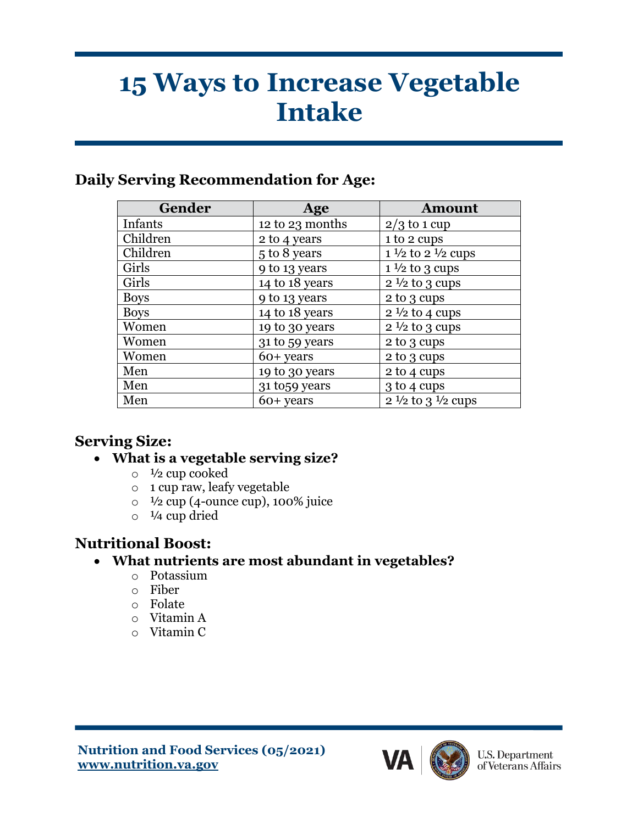# **15 Ways to Increase Vegetable Intake**

## **Daily Serving Recommendation for Age:**

| Gender      | Age             | <b>Amount</b>                         |
|-------------|-----------------|---------------------------------------|
| Infants     | 12 to 23 months | $2/3$ to 1 cup                        |
| Children    | 2 to 4 years    | 1 to 2 cups                           |
| Children    | 5 to 8 years    | $1\frac{1}{2}$ to $2\frac{1}{2}$ cups |
| Girls       | 9 to 13 years   | $1\frac{1}{2}$ to 3 cups              |
| Girls       | 14 to 18 years  | $2\frac{1}{2}$ to 3 cups              |
| <b>Boys</b> | 9 to 13 years   | 2 to 3 cups                           |
| <b>Boys</b> | 14 to 18 years  | $2\frac{1}{2}$ to 4 cups              |
| Women       | 19 to 30 years  | $2\frac{1}{2}$ to 3 cups              |
| Women       | 31 to 59 years  | 2 to 3 cups                           |
| Women       | 60+ years       | 2 to 3 cups                           |
| Men         | 19 to 30 years  | 2 to 4 cups                           |
| Men         | 31 to 59 years  | 3 to 4 cups                           |
| Men         | $60+$ years     | $2\frac{1}{2}$ to $3\frac{1}{2}$ cups |

## **Serving Size:**

- **What is a vegetable serving size?**
	- $\circ$   $\frac{1}{2}$  cup cooked
	- o 1 cup raw, leafy vegetable
	- $\circ$  <sup>1</sup>/<sub>2</sub> cup (4-ounce cup), 100% juice
	- $\circ$   $\frac{1}{4}$  cup dried

## **Nutritional Boost:**

- **What nutrients are most abundant in vegetables?**
	- o Potassium
	- o Fiber
	- o Folate
	- o Vitamin A
	- o Vitamin C



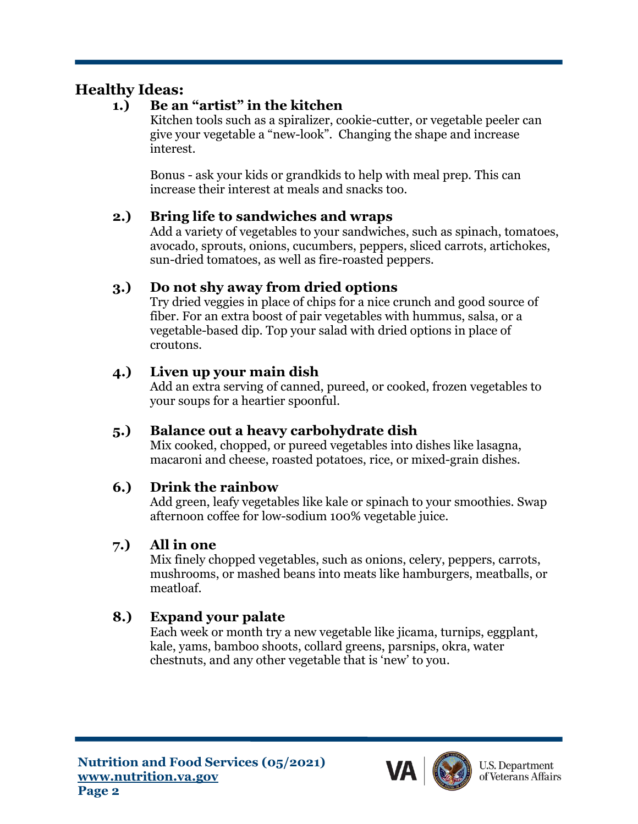# **Healthy Ideas:**

#### **1.) Be an "artist" in the kitchen**

Kitchen tools such as a spiralizer, cookie-cutter, or vegetable peeler can give your vegetable a "new-look". Changing the shape and increase interest.

Bonus - ask your kids or grandkids to help with meal prep. This can increase their interest at meals and snacks too.

#### **2.) Bring life to sandwiches and wraps**

Add a variety of vegetables to your sandwiches, such as spinach, tomatoes, avocado, sprouts, onions, cucumbers, peppers, sliced carrots, artichokes, sun-dried tomatoes, as well as fire-roasted peppers.

#### **3.) Do not shy away from dried options**

Try dried veggies in place of chips for a nice crunch and good source of fiber. For an extra boost of pair vegetables with hummus, salsa, or a vegetable-based dip. Top your salad with dried options in place of croutons.

#### **4.) Liven up your main dish**

Add an extra serving of canned, pureed, or cooked, frozen vegetables to your soups for a heartier spoonful.

#### **5.) Balance out a heavy carbohydrate dish**

Mix cooked, chopped, or pureed vegetables into dishes like lasagna, macaroni and cheese, roasted potatoes, rice, or mixed-grain dishes.

#### **6.) Drink the rainbow**

Add green, leafy vegetables like kale or spinach to your smoothies. Swap afternoon coffee for low-sodium 100% vegetable juice.

## **7.) All in one**

Mix finely chopped vegetables, such as onions, celery, peppers, carrots, mushrooms, or mashed beans into meats like hamburgers, meatballs, or meatloaf.

## **8.) Expand your palate**

Each week or month try a new vegetable like jicama, turnips, eggplant, kale, yams, bamboo shoots, collard greens, parsnips, okra, water chestnuts, and any other vegetable that is 'new' to you.